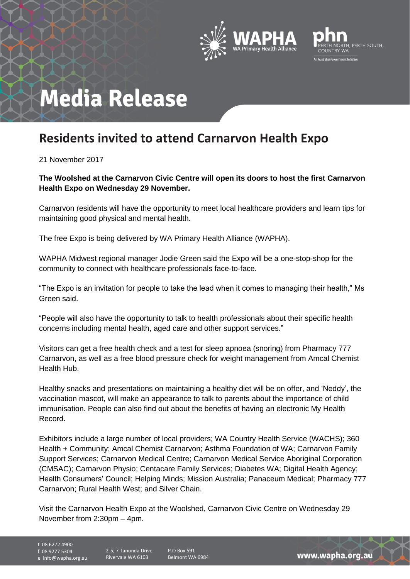



# **Media Release**

# **Residents invited to attend Carnarvon Health Expo**

21 November 2017

**The Woolshed at the Carnarvon Civic Centre will open its doors to host the first Carnarvon Health Expo on Wednesday 29 November.**

Carnarvon residents will have the opportunity to meet local healthcare providers and learn tips for maintaining good physical and mental health.

The free Expo is being delivered by WA Primary Health Alliance (WAPHA).

WAPHA Midwest regional manager Jodie Green said the Expo will be a one-stop-shop for the community to connect with healthcare professionals face-to-face.

"The Expo is an invitation for people to take the lead when it comes to managing their health," Ms Green said.

"People will also have the opportunity to talk to health professionals about their specific health concerns including mental health, aged care and other support services."

Visitors can get a free health check and a test for sleep apnoea (snoring) from Pharmacy 777 Carnarvon, as well as a free blood pressure check for weight management from Amcal Chemist Health Hub.

Healthy snacks and presentations on maintaining a healthy diet will be on offer, and 'Neddy', the vaccination mascot, will make an appearance to talk to parents about the importance of child immunisation. People can also find out about the benefits of having an electronic My Health Record.

Exhibitors include a large number of local providers; WA Country Health Service (WACHS); 360 Health + Community; Amcal Chemist Carnarvon; Asthma Foundation of WA; Carnarvon Family Support Services; Carnarvon Medical Centre; Carnarvon Medical Service Aboriginal Corporation (CMSAC); Carnarvon Physio; Centacare Family Services; Diabetes WA; Digital Health Agency; Health Consumers' Council; Helping Minds; Mission Australia; Panaceum Medical; Pharmacy 777 Carnarvon; Rural Health West; and Silver Chain.

Visit the Carnarvon Health Expo at the Woolshed, Carnarvon Civic Centre on Wednesday 29 November from 2:30pm – 4pm.

t 08 6272 4900 f 08 9277 5304

e info@wapha.org.au